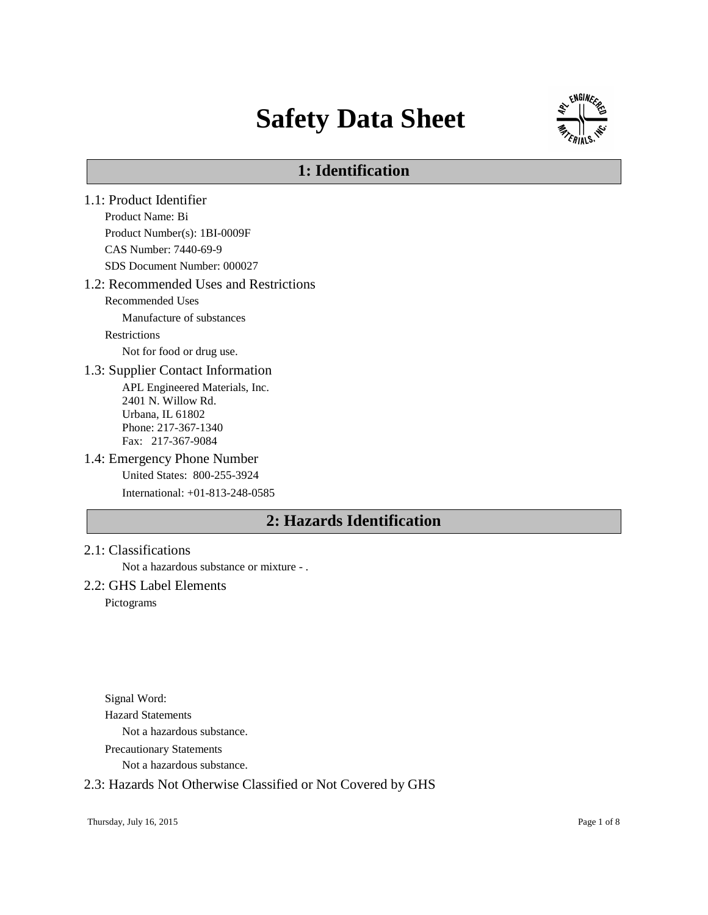# **Safety Data Sheet**



# **1: Identification**

1.1: Product Identifier Product Name: Bi Product Number(s): 1BI-0009F CAS Number: 7440-69-9 SDS Document Number: 000027 1.2: Recommended Uses and Restrictions Recommended Uses Manufacture of substances Restrictions Not for food or drug use. 1.3: Supplier Contact Information APL Engineered Materials, Inc. 2401 N. Willow Rd. Urbana, IL 61802 Phone: 217-367-1340 Fax: 217-367-9084 1.4: Emergency Phone Number United States: 800-255-3924 International: +01-813-248-0585 **2: Hazards Identification**

### 2.1: Classifications

Not a hazardous substance or mixture - .

#### 2.2: GHS Label Elements

Pictograms

Signal Word: Hazard Statements Not a hazardous substance. Precautionary Statements

Not a hazardous substance.

#### 2.3: Hazards Not Otherwise Classified or Not Covered by GHS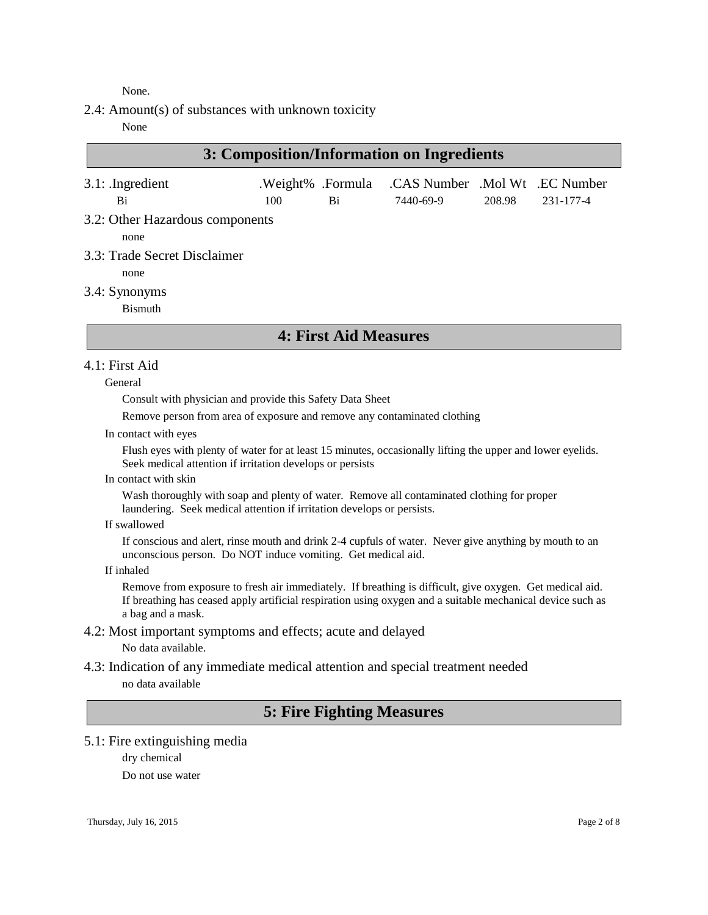None.

2.4: Amount(s) of substances with unknown toxicity

None

| $3.1:$ Ingredient               |     |    | .Weight% .Formula .CAS Number .Mol Wt .EC Number |        |           |
|---------------------------------|-----|----|--------------------------------------------------|--------|-----------|
| Bi                              | 100 | Bi | 7440-69-9                                        | 208.98 | 231-177-4 |
| 3.2: Other Hazardous components |     |    |                                                  |        |           |
| none                            |     |    |                                                  |        |           |

3.3: Trade Secret Disclaimer

none

3.4: Synonyms

Bismuth

# **4: First Aid Measures**

### 4.1: First Aid

General

Consult with physician and provide this Safety Data Sheet

Remove person from area of exposure and remove any contaminated clothing

In contact with eyes

Flush eyes with plenty of water for at least 15 minutes, occasionally lifting the upper and lower eyelids. Seek medical attention if irritation develops or persists

In contact with skin

Wash thoroughly with soap and plenty of water. Remove all contaminated clothing for proper laundering. Seek medical attention if irritation develops or persists.

If swallowed

If conscious and alert, rinse mouth and drink 2-4 cupfuls of water. Never give anything by mouth to an unconscious person. Do NOT induce vomiting. Get medical aid.

If inhaled

Remove from exposure to fresh air immediately. If breathing is difficult, give oxygen. Get medical aid. If breathing has ceased apply artificial respiration using oxygen and a suitable mechanical device such as a bag and a mask.

4.2: Most important symptoms and effects; acute and delayed

No data available.

4.3: Indication of any immediate medical attention and special treatment needed no data available

# **5: Fire Fighting Measures**

5.1: Fire extinguishing media

dry chemical

Do not use water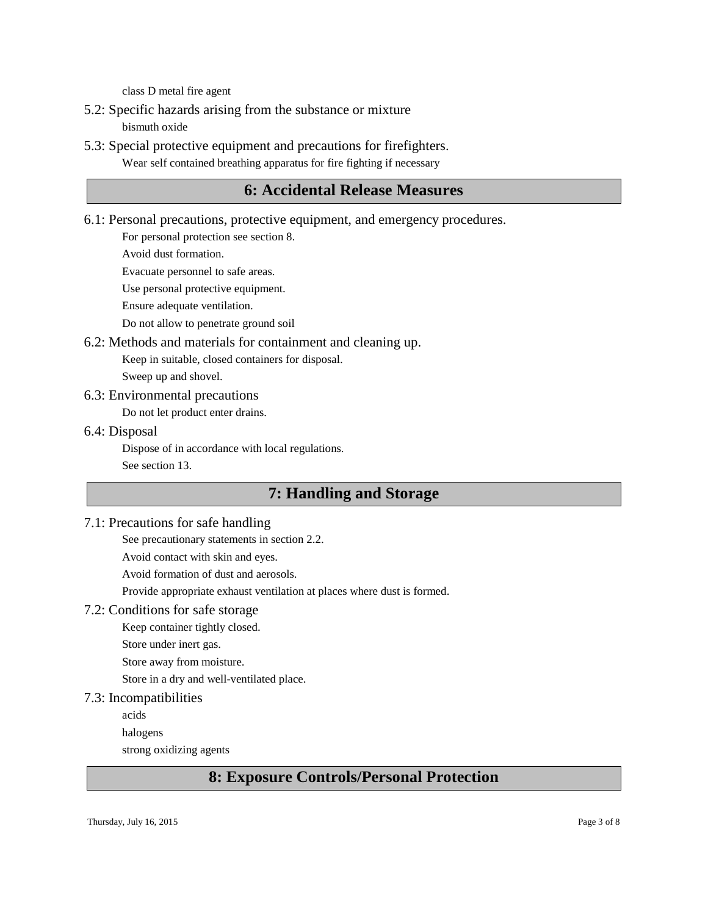class D metal fire agent

- 5.2: Specific hazards arising from the substance or mixture bismuth oxide
- 5.3: Special protective equipment and precautions for firefighters. Wear self contained breathing apparatus for fire fighting if necessary

# **6: Accidental Release Measures**

6.1: Personal precautions, protective equipment, and emergency procedures.

For personal protection see section 8.

Avoid dust formation.

Evacuate personnel to safe areas.

Use personal protective equipment.

Ensure adequate ventilation.

Do not allow to penetrate ground soil

### 6.2: Methods and materials for containment and cleaning up.

Keep in suitable, closed containers for disposal.

Sweep up and shovel.

#### 6.3: Environmental precautions

Do not let product enter drains.

#### 6.4: Disposal

Dispose of in accordance with local regulations. See section 13.

# **7: Handling and Storage**

### 7.1: Precautions for safe handling

See precautionary statements in section 2.2.

Avoid contact with skin and eyes.

Avoid formation of dust and aerosols.

Provide appropriate exhaust ventilation at places where dust is formed.

### 7.2: Conditions for safe storage

Keep container tightly closed.

Store under inert gas.

Store away from moisture.

Store in a dry and well-ventilated place.

### 7.3: Incompatibilities

acids

halogens

strong oxidizing agents

# **8: Exposure Controls/Personal Protection**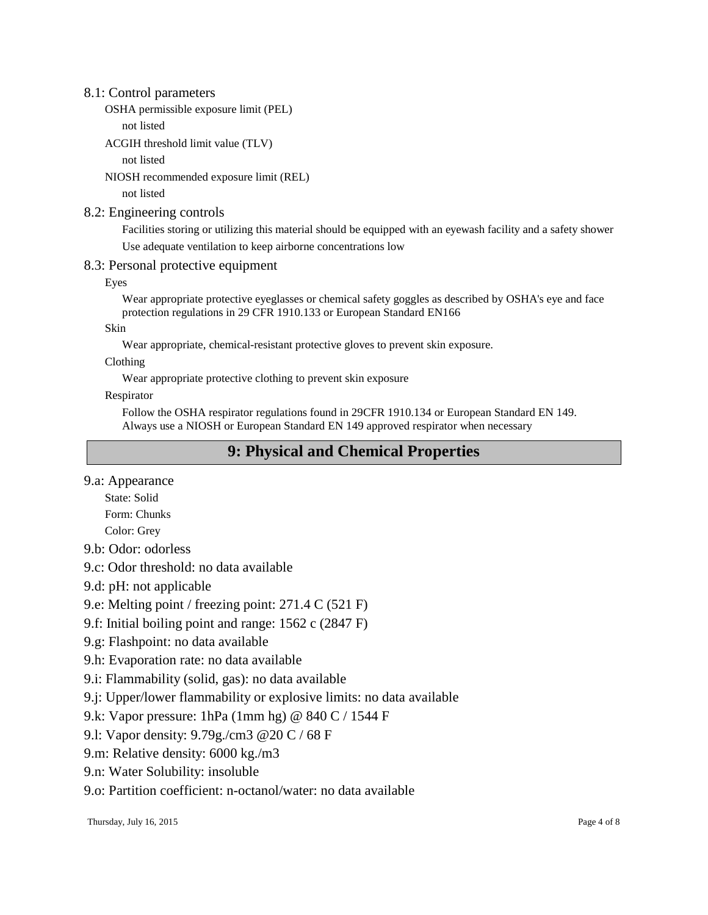### 8.1: Control parameters

```
OSHA permissible exposure limit (PEL)
```
not listed

```
ACGIH threshold limit value (TLV)
```
not listed

NIOSH recommended exposure limit (REL)

not listed

# 8.2: Engineering controls

Facilities storing or utilizing this material should be equipped with an eyewash facility and a safety shower Use adequate ventilation to keep airborne concentrations low

# 8.3: Personal protective equipment

Eyes

Wear appropriate protective eyeglasses or chemical safety goggles as described by OSHA's eye and face protection regulations in 29 CFR 1910.133 or European Standard EN166

Skin

Wear appropriate, chemical-resistant protective gloves to prevent skin exposure.

Clothing

Wear appropriate protective clothing to prevent skin exposure

### Respirator

Follow the OSHA respirator regulations found in 29CFR 1910.134 or European Standard EN 149. Always use a NIOSH or European Standard EN 149 approved respirator when necessary

# **9: Physical and Chemical Properties**

9.a: Appearance

State: Solid Form: Chunks

Color: Grey

9.b: Odor: odorless

9.c: Odor threshold: no data available

9.d: pH: not applicable

9.e: Melting point / freezing point: 271.4 C (521 F)

- 9.f: Initial boiling point and range: 1562 c (2847 F)
- 9.g: Flashpoint: no data available

9.h: Evaporation rate: no data available

9.i: Flammability (solid, gas): no data available

9.j: Upper/lower flammability or explosive limits: no data available

9.k: Vapor pressure: 1hPa (1mm hg) @ 840 C / 1544 F

9.l: Vapor density: 9.79g./cm3 @20 C / 68 F

9.m: Relative density: 6000 kg./m3

9.n: Water Solubility: insoluble

9.o: Partition coefficient: n-octanol/water: no data available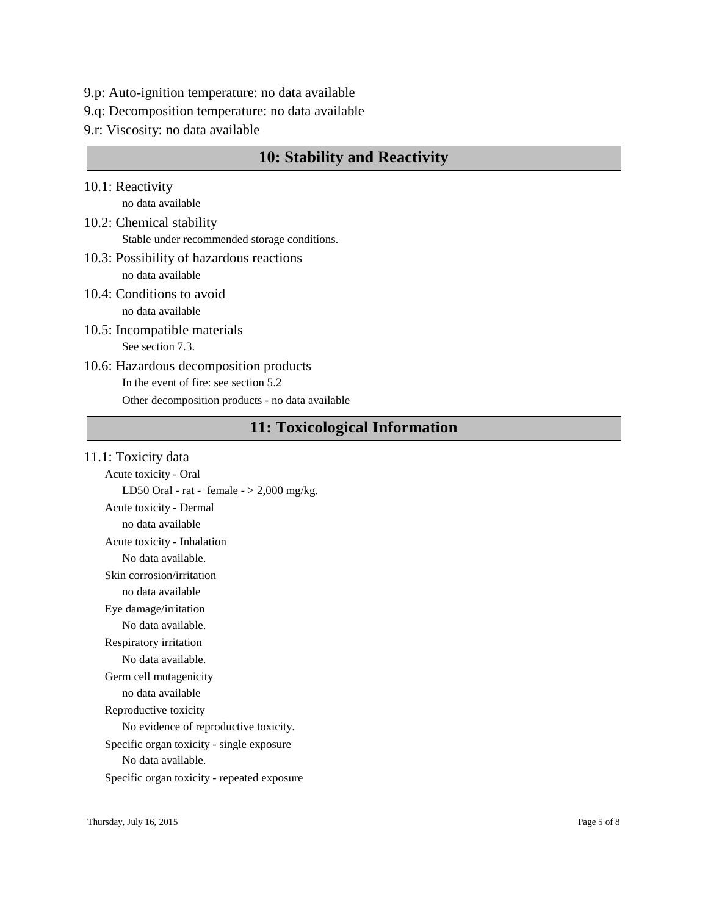- 9.p: Auto-ignition temperature: no data available
- 9.q: Decomposition temperature: no data available
- 9.r: Viscosity: no data available

# **10: Stability and Reactivity**

- 10.1: Reactivity no data available
- 10.2: Chemical stability Stable under recommended storage conditions.
- 10.3: Possibility of hazardous reactions no data available
- 10.4: Conditions to avoid no data available
- 10.5: Incompatible materials See section 7.3.
- 10.6: Hazardous decomposition products In the event of fire: see section 5.2 Other decomposition products - no data available

# **11: Toxicological Information**

#### 11.1: Toxicity data

Acute toxicity - Oral LD50 Oral - rat - female  $-$  > 2,000 mg/kg. Acute toxicity - Dermal no data available Acute toxicity - Inhalation No data available. Skin corrosion/irritation no data available Eye damage/irritation No data available. Respiratory irritation No data available. Germ cell mutagenicity no data available Reproductive toxicity No evidence of reproductive toxicity. Specific organ toxicity - single exposure No data available. Specific organ toxicity - repeated exposure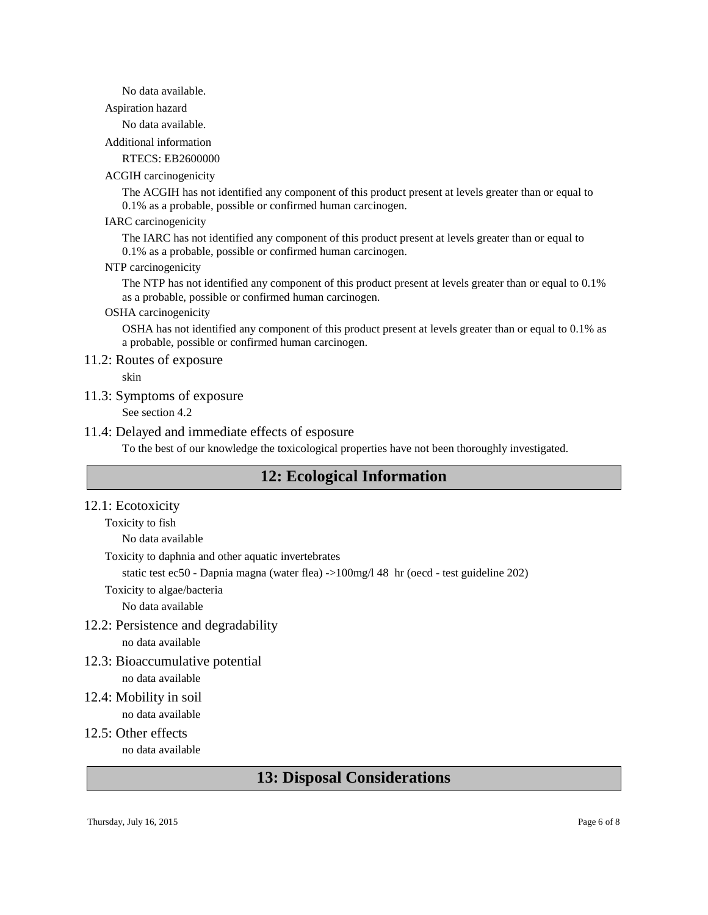No data available.

Aspiration hazard

No data available.

Additional information

RTECS: EB2600000

#### ACGIH carcinogenicity

The ACGIH has not identified any component of this product present at levels greater than or equal to 0.1% as a probable, possible or confirmed human carcinogen.

#### IARC carcinogenicity

The IARC has not identified any component of this product present at levels greater than or equal to 0.1% as a probable, possible or confirmed human carcinogen.

#### NTP carcinogenicity

The NTP has not identified any component of this product present at levels greater than or equal to 0.1% as a probable, possible or confirmed human carcinogen.

### OSHA carcinogenicity

OSHA has not identified any component of this product present at levels greater than or equal to 0.1% as a probable, possible or confirmed human carcinogen.

#### 11.2: Routes of exposure

skin

#### 11.3: Symptoms of exposure

See section 4.2

#### 11.4: Delayed and immediate effects of esposure

To the best of our knowledge the toxicological properties have not been thoroughly investigated.

# **12: Ecological Information**

#### 12.1: Ecotoxicity

Toxicity to fish

No data available

Toxicity to daphnia and other aquatic invertebrates

static test ec50 - Dapnia magna (water flea) ->100mg/l 48 hr (oecd - test guideline 202)

Toxicity to algae/bacteria

No data available

# 12.2: Persistence and degradability

no data available

- 12.3: Bioaccumulative potential no data available
- 12.4: Mobility in soil no data available
- 12.5: Other effects

no data available

# **13: Disposal Considerations**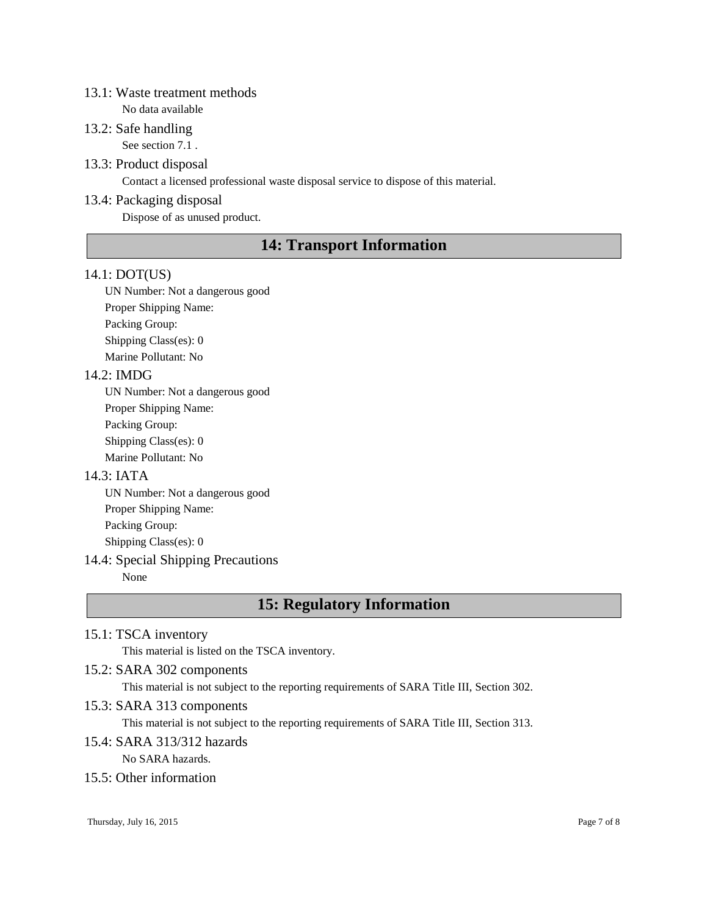### 13.1: Waste treatment methods

No data available

13.2: Safe handling

See section 7.1 .

13.3: Product disposal

Contact a licensed professional waste disposal service to dispose of this material.

# 13.4: Packaging disposal

Dispose of as unused product.

# **14: Transport Information**

### 14.1: DOT(US)

UN Number: Not a dangerous good

Proper Shipping Name: Packing Group: Shipping Class(es): 0 Marine Pollutant: No

# 14.2: IMDG

UN Number: Not a dangerous good Proper Shipping Name: Packing Group: Shipping Class(es): 0 Marine Pollutant: No

### 14.3: IATA

UN Number: Not a dangerous good Proper Shipping Name: Packing Group: Shipping Class(es): 0

# 14.4: Special Shipping Precautions

None

# **15: Regulatory Information**

### 15.1: TSCA inventory

This material is listed on the TSCA inventory.

### 15.2: SARA 302 components

This material is not subject to the reporting requirements of SARA Title III, Section 302.

### 15.3: SARA 313 components

This material is not subject to the reporting requirements of SARA Title III, Section 313.

# 15.4: SARA 313/312 hazards

No SARA hazards.

### 15.5: Other information